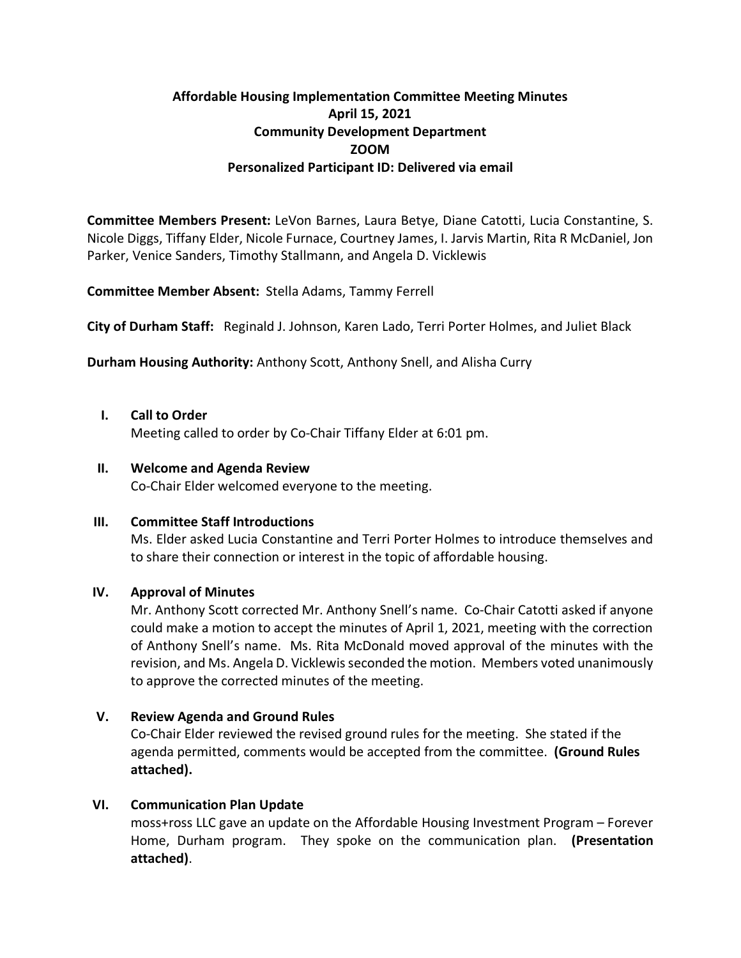# **Affordable Housing Implementation Committee Meeting Minutes April 15, 2021 Community Development Department ZOOM Personalized Participant ID: Delivered via email**

**Committee Members Present:** LeVon Barnes, Laura Betye, Diane Catotti, Lucia Constantine, S. Nicole Diggs, Tiffany Elder, Nicole Furnace, Courtney James, I. Jarvis Martin, Rita R McDaniel, Jon Parker, Venice Sanders, Timothy Stallmann, and Angela D. Vicklewis

**Committee Member Absent:** Stella Adams, Tammy Ferrell

**City of Durham Staff:** Reginald J. Johnson, Karen Lado, Terri Porter Holmes, and Juliet Black

**Durham Housing Authority:** Anthony Scott, Anthony Snell, and Alisha Curry

**I. Call to Order** 

Meeting called to order by Co-Chair Tiffany Elder at 6:01 pm.

#### **II. Welcome and Agenda Review**

Co-Chair Elder welcomed everyone to the meeting.

## **III. Committee Staff Introductions**

Ms. Elder asked Lucia Constantine and Terri Porter Holmes to introduce themselves and to share their connection or interest in the topic of affordable housing.

## **IV. Approval of Minutes**

Mr. Anthony Scott corrected Mr. Anthony Snell's name. Co-Chair Catotti asked if anyone could make a motion to accept the minutes of April 1, 2021, meeting with the correction of Anthony Snell's name. Ms. Rita McDonald moved approval of the minutes with the revision, and Ms. Angela D. Vicklewis seconded the motion. Members voted unanimously to approve the corrected minutes of the meeting.

## **V. Review Agenda and Ground Rules**

Co-Chair Elder reviewed the revised ground rules for the meeting. She stated if the agenda permitted, comments would be accepted from the committee. **(Ground Rules attached).**

## **VI. Communication Plan Update**

moss+ross LLC gave an update on the Affordable Housing Investment Program – Forever Home, Durham program. They spoke on the communication plan. **(Presentation attached)**.